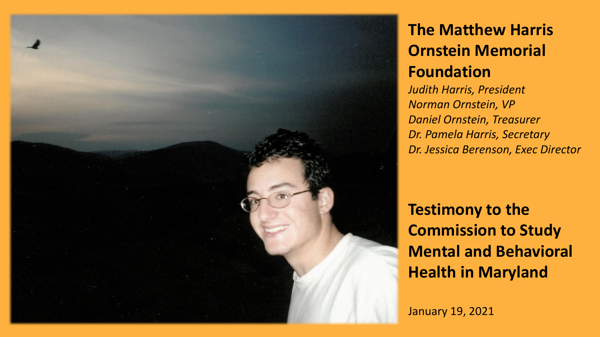

## **The Matthew Harris Ornstein Memorial Foundation**

*Judith Harris, President Norman Ornstein, VP Daniel Ornstein, Treasurer Dr. Pamela Harris, Secretary Dr. Jessica Berenson, Exec Director*

**Testimony to the Commission to Study Mental and Behavioral Health in Maryland**

January 19, 2021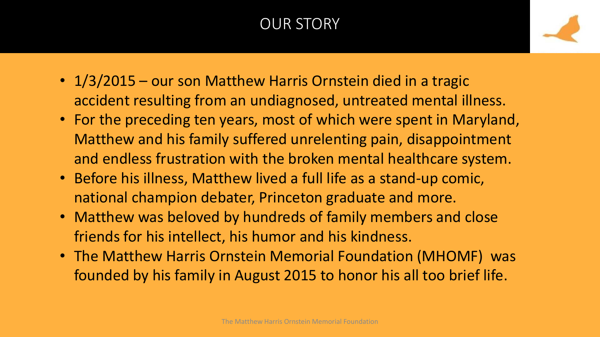## OUR STORY

- 1/3/2015 our son Matthew Harris Ornstein died in a tragic accident resulting from an undiagnosed, untreated mental illness.
- For the preceding ten years, most of which were spent in Maryland, Matthew and his family suffered unrelenting pain, disappointment and endless frustration with the broken mental healthcare system.
- Before his illness, Matthew lived a full life as a stand-up comic, national champion debater, Princeton graduate and more.
- Matthew was beloved by hundreds of family members and close friends for his intellect, his humor and his kindness.
- The Matthew Harris Ornstein Memorial Foundation (MHOMF) was founded by his family in August 2015 to honor his all too brief life.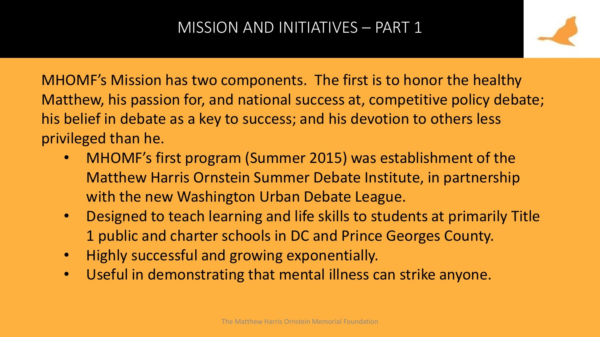

MHOMF's Mission has two components. The first is to honor the healthy Matthew, his passion for, and national success at, competitive policy debate; his belief in debate as a key to success; and his devotion to others less privileged than he.

- MHOMF's first program (Summer 2015) was establishment of the Matthew Harris Ornstein Summer Debate Institute, in partnership with the new Washington Urban Debate League.
- Designed to teach learning and life skills to students at primarily Title 1 public and charter schools in DC and Prince Georges County.
- Highly successful and growing exponentially.
- Useful in demonstrating that mental illness can strike anyone.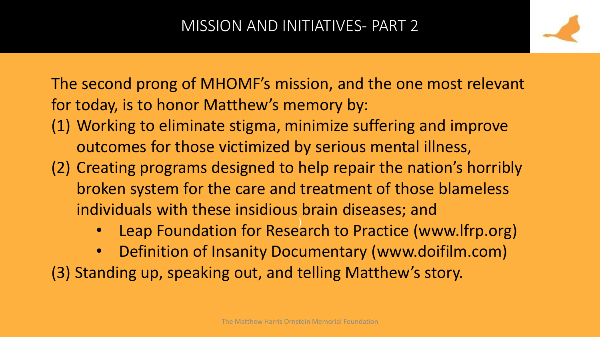The second prong of MHOMF's mission, and the one most relevant for today, is to honor Matthew's memory by:

- (1) Working to eliminate stigma, minimize suffering and improve outcomes for those victimized by serious mental illness,
- (2) Creating programs designed to help repair the nation's horribly broken system for the care and treatment of those blameless individuals with these insidious brain diseases; and
	- Leap Foundation for Research to Practice (www.lfrp.org)
- Definition of Insanity Documentary (www.doifilm.com) (3) Standing up, speaking out, and telling Matthew's story.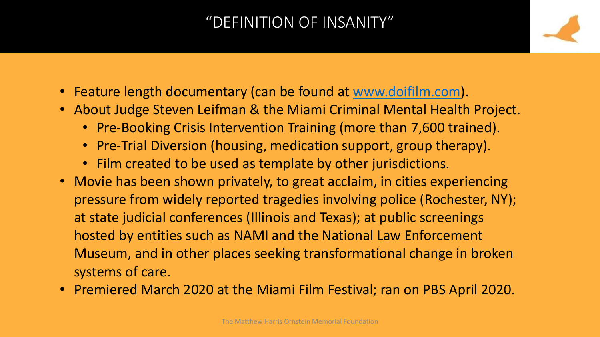#### "DEFINITION OF INSANITY"

- Feature length documentary (can be found at [www.doifilm.com](http://www.doifilm.com/)).
- About Judge Steven Leifman & the Miami Criminal Mental Health Project.
	- Pre-Booking Crisis Intervention Training (more than 7,600 trained).
	- Pre-Trial Diversion (housing, medication support, group therapy).
	- Film created to be used as template by other jurisdictions.
- Movie has been shown privately, to great acclaim, in cities experiencing pressure from widely reported tragedies involving police (Rochester, NY); at state judicial conferences (Illinois and Texas); at public screenings hosted by entities such as NAMI and the National Law Enforcement Museum, and in other places seeking transformational change in broken systems of care.
- Premiered March 2020 at the Miami Film Festival; ran on PBS April 2020.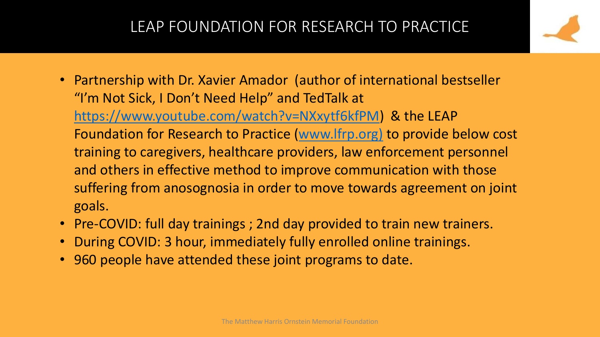#### LEAP FOUNDATION FOR RESEARCH TO PRACTICE

- 
- Partnership with Dr. Xavier Amador (author of international bestseller "I'm Not Sick, I Don't Need Help" and TedTalk at [https://www.youtube.com/watch?v=NXxytf6kfPM\)](https://www.youtube.com/watch?v=NXxytf6kfPM) & the LEAP Foundation for Research to Practice ([www.lfrp.org\)](http://www.lfrp.org)[jess/) to provide below cost training to caregivers, healthcare providers, law enforcement personnel and others in effective method to improve communication with those suffering from anosognosia in order to move towards agreement on joint goals.
- Pre-COVID: full day trainings ; 2nd day provided to train new trainers.
- During COVID: 3 hour, immediately fully enrolled online trainings.
- 960 people have attended these joint programs to date.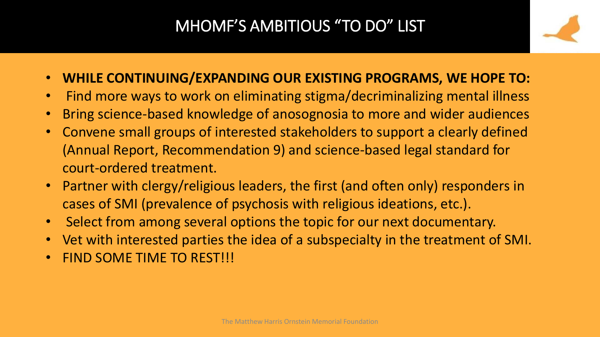## MHOMF'S AMBITIOUS "TO DO" LIST

- 
- **WHILE CONTINUING/EXPANDING OUR EXISTING PROGRAMS, WE HOPE TO:**
- Find more ways to work on eliminating stigma/decriminalizing mental illness
- Bring science-based knowledge of anosognosia to more and wider audiences
- Convene small groups of interested stakeholders to support a clearly defined (Annual Report, Recommendation 9) and science-based legal standard for court-ordered treatment.
- Partner with clergy/religious leaders, the first (and often only) responders in cases of SMI (prevalence of psychosis with religious ideations, etc.).
- Select from among several options the topic for our next documentary.
- Vet with interested parties the idea of a subspecialty in the treatment of SMI.
- FIND SOME TIME TO REST!!!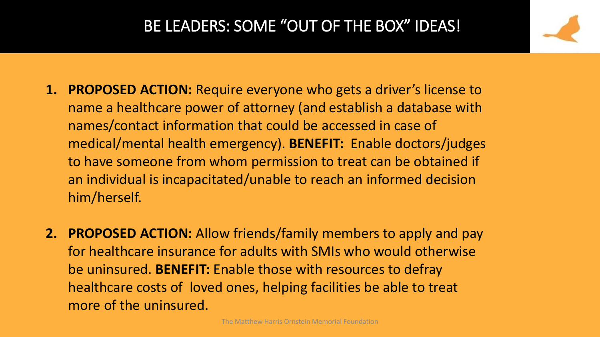#### BE LEADERS: SOME "OUT OF THE BOX" IDEAS!

- **1. PROPOSED ACTION:** Require everyone who gets a driver's license to name a healthcare power of attorney (and establish a database with names/contact information that could be accessed in case of medical/mental health emergency). **BENEFIT:** Enable doctors/judges to have someone from whom permission to treat can be obtained if an individual is incapacitated/unable to reach an informed decision him/herself.
- **2. PROPOSED ACTION:** Allow friends/family members to apply and pay for healthcare insurance for adults with SMIs who would otherwise be uninsured. **BENEFIT:** Enable those with resources to defray healthcare costs of loved ones, helping facilities be able to treat more of the uninsured.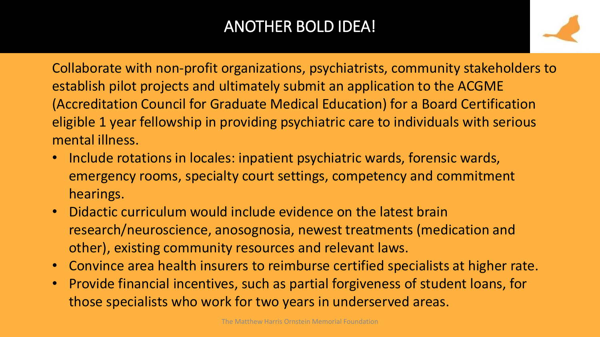## ANOTHER BOLD IDEA!



Collaborate with non-profit organizations, psychiatrists, community stakeholders to establish pilot projects and ultimately submit an application to the ACGME (Accreditation Council for Graduate Medical Education) for a Board Certification eligible 1 year fellowship in providing psychiatric care to individuals with serious mental illness.

- Include rotations in locales: inpatient psychiatric wards, forensic wards, emergency rooms, specialty court settings, competency and commitment hearings.
- Didactic curriculum would include evidence on the latest brain research/neuroscience, anosognosia, newest treatments (medication and other), existing community resources and relevant laws.
- Convince area health insurers to reimburse certified specialists at higher rate.
- Provide financial incentives, such as partial forgiveness of student loans, for those specialists who work for two years in underserved areas.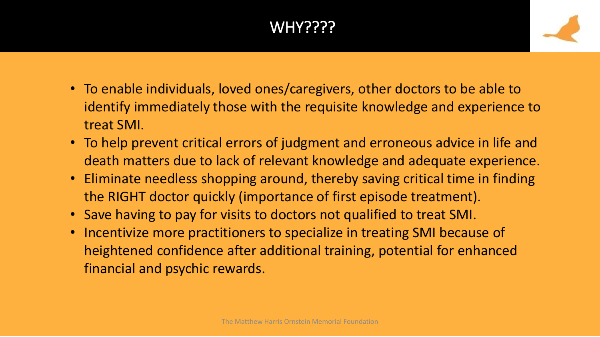# WHY????



- To enable individuals, loved ones/caregivers, other doctors to be able to identify immediately those with the requisite knowledge and experience to treat SMI.
- To help prevent critical errors of judgment and erroneous advice in life and death matters due to lack of relevant knowledge and adequate experience.
- Eliminate needless shopping around, thereby saving critical time in finding the RIGHT doctor quickly (importance of first episode treatment).
- Save having to pay for visits to doctors not qualified to treat SMI.
- Incentivize more practitioners to specialize in treating SMI because of heightened confidence after additional training, potential for enhanced financial and psychic rewards.